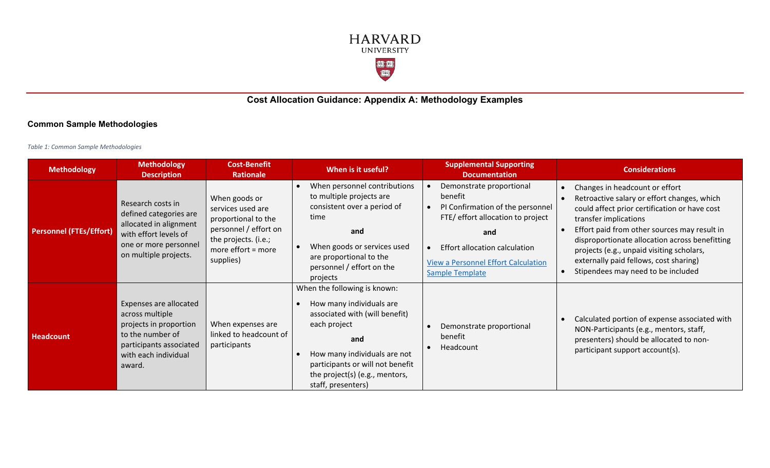

## **Cost Allocation Guidance: Appendix A: Methodology Examples**

## **Common Sample Methodologies**

*Table 1: Common Sample Methodologies*

| <b>Methodology</b>             | <b>Methodology</b><br><b>Description</b>                                                                                                             | <b>Cost-Benefit</b><br><b>Rationale</b>                                                                                                         | When is it useful?                                                                                                                                                                                                                            | <b>Supplemental Supporting</b><br><b>Documentation</b>                                                                                                                                                                       | <b>Considerations</b>                                                                                                                                                                                                                                                                                                                                                                  |
|--------------------------------|------------------------------------------------------------------------------------------------------------------------------------------------------|-------------------------------------------------------------------------------------------------------------------------------------------------|-----------------------------------------------------------------------------------------------------------------------------------------------------------------------------------------------------------------------------------------------|------------------------------------------------------------------------------------------------------------------------------------------------------------------------------------------------------------------------------|----------------------------------------------------------------------------------------------------------------------------------------------------------------------------------------------------------------------------------------------------------------------------------------------------------------------------------------------------------------------------------------|
| <b>Personnel (FTEs/Effort)</b> | Research costs in<br>defined categories are<br>allocated in alignment<br>with effort levels of<br>one or more personnel<br>on multiple projects.     | When goods or<br>services used are<br>proportional to the<br>personnel / effort on<br>the projects. (i.e.;<br>more effort $=$ more<br>supplies) | When personnel contributions<br>to multiple projects are<br>consistent over a period of<br>time<br>and<br>When goods or services used<br>are proportional to the<br>personnel / effort on the<br>projects                                     | Demonstrate proportional<br>benefit<br>PI Confirmation of the personnel<br>FTE/ effort allocation to project<br>and<br>Effort allocation calculation<br><b>View a Personnel Effort Calculation</b><br><b>Sample Template</b> | Changes in headcount or effort<br>Retroactive salary or effort changes, which<br>could affect prior certification or have cost<br>transfer implications<br>Effort paid from other sources may result in<br>disproportionate allocation across benefitting<br>projects (e.g., unpaid visiting scholars,<br>externally paid fellows, cost sharing)<br>Stipendees may need to be included |
| <b>Headcount</b>               | Expenses are allocated<br>across multiple<br>projects in proportion<br>to the number of<br>participants associated<br>with each individual<br>award. | When expenses are<br>linked to headcount of<br>participants                                                                                     | When the following is known:<br>How many individuals are<br>associated with (will benefit)<br>each project<br>and<br>How many individuals are not<br>participants or will not benefit<br>the project(s) (e.g., mentors,<br>staff, presenters) | Demonstrate proportional<br>benefit<br>Headcount                                                                                                                                                                             | Calculated portion of expense associated with<br>NON-Participants (e.g., mentors, staff,<br>presenters) should be allocated to non-<br>participant support account(s).                                                                                                                                                                                                                 |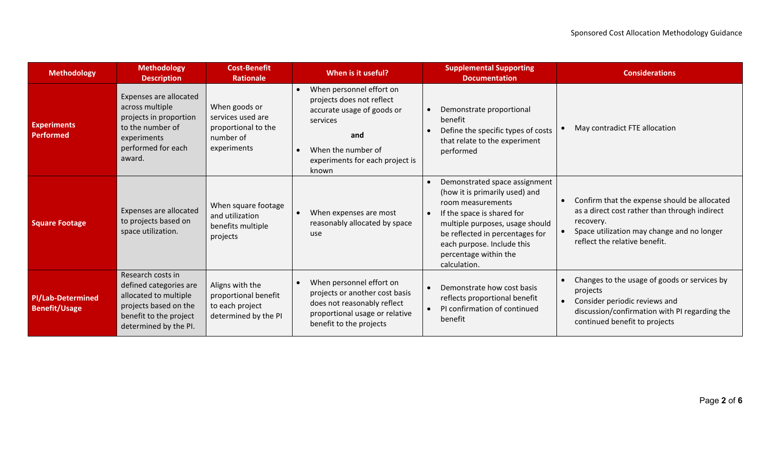| <b>Methodology</b>                               | <b>Methodology</b><br><b>Description</b>                                                                                                         | <b>Cost-Benefit</b><br><b>Rationale</b>                                               | When is it useful?                                                                                                                                                                                 | <b>Supplemental Supporting</b><br><b>Documentation</b>                                                                                                                                                                                                          | <b>Considerations</b>                                                                                                                                                                     |
|--------------------------------------------------|--------------------------------------------------------------------------------------------------------------------------------------------------|---------------------------------------------------------------------------------------|----------------------------------------------------------------------------------------------------------------------------------------------------------------------------------------------------|-----------------------------------------------------------------------------------------------------------------------------------------------------------------------------------------------------------------------------------------------------------------|-------------------------------------------------------------------------------------------------------------------------------------------------------------------------------------------|
| <b>Experiments</b><br><b>Performed</b>           | Expenses are allocated<br>across multiple<br>projects in proportion<br>to the number of<br>experiments<br>performed for each<br>award.           | When goods or<br>services used are<br>proportional to the<br>number of<br>experiments | When personnel effort on<br>$\bullet$<br>projects does not reflect<br>accurate usage of goods or<br>services<br>and<br>When the number of<br>$\bullet$<br>experiments for each project is<br>known | Demonstrate proportional<br>benefit<br>Define the specific types of costs<br>that relate to the experiment<br>performed                                                                                                                                         | May contradict FTE allocation                                                                                                                                                             |
| <b>Square Footage</b>                            | Expenses are allocated<br>to projects based on<br>space utilization.                                                                             | When square footage<br>and utilization<br>benefits multiple<br>projects               | When expenses are most<br>$\bullet$<br>reasonably allocated by space<br>use                                                                                                                        | Demonstrated space assignment<br>(how it is primarily used) and<br>room measurements<br>If the space is shared for<br>multiple purposes, usage should<br>be reflected in percentages for<br>each purpose. Include this<br>percentage within the<br>calculation. | Confirm that the expense should be allocated<br>as a direct cost rather than through indirect<br>recovery.<br>Space utilization may change and no longer<br>reflect the relative benefit. |
| <b>PI/Lab-Determined</b><br><b>Benefit/Usage</b> | Research costs in<br>defined categories are<br>allocated to multiple<br>projects based on the<br>benefit to the project<br>determined by the PI. | Aligns with the<br>proportional benefit<br>to each project<br>determined by the PI    | When personnel effort on<br>projects or another cost basis<br>does not reasonably reflect<br>proportional usage or relative<br>benefit to the projects                                             | Demonstrate how cost basis<br>reflects proportional benefit<br>PI confirmation of continued<br>benefit                                                                                                                                                          | Changes to the usage of goods or services by<br>projects<br>Consider periodic reviews and<br>$\bullet$<br>discussion/confirmation with PI regarding the<br>continued benefit to projects  |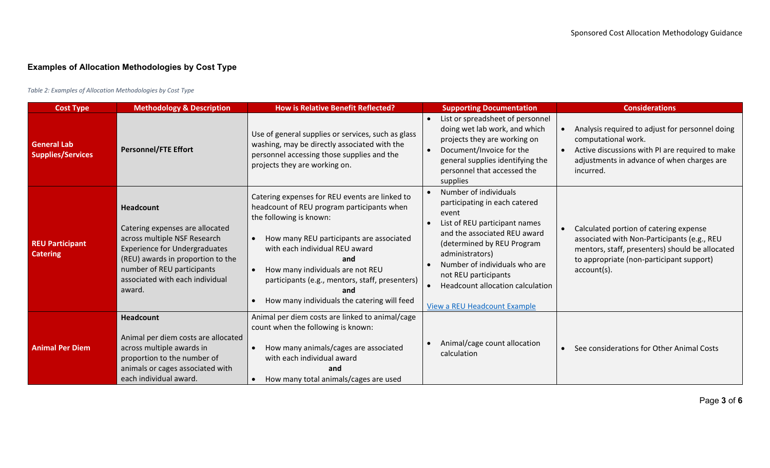## **Examples of Allocation Methodologies by Cost Type**

*Table 2: Examples of Allocation Methodologies by Cost Type*

| <b>Cost Type</b>                               | <b>Methodology &amp; Description</b>                                                                                                                                                                                                        | <b>How is Relative Benefit Reflected?</b>                                                                                                                                                                                                                                                                                                                 | <b>Supporting Documentation</b>                                                                                                                                                                                                                                                                                       | <b>Considerations</b>                                                                                                                                                                               |
|------------------------------------------------|---------------------------------------------------------------------------------------------------------------------------------------------------------------------------------------------------------------------------------------------|-----------------------------------------------------------------------------------------------------------------------------------------------------------------------------------------------------------------------------------------------------------------------------------------------------------------------------------------------------------|-----------------------------------------------------------------------------------------------------------------------------------------------------------------------------------------------------------------------------------------------------------------------------------------------------------------------|-----------------------------------------------------------------------------------------------------------------------------------------------------------------------------------------------------|
| <b>General Lab</b><br><b>Supplies/Services</b> | <b>Personnel/FTE Effort</b>                                                                                                                                                                                                                 | Use of general supplies or services, such as glass<br>washing, may be directly associated with the<br>personnel accessing those supplies and the<br>projects they are working on.                                                                                                                                                                         | List or spreadsheet of personnel<br>doing wet lab work, and which<br>projects they are working on<br>Document/Invoice for the<br>general supplies identifying the<br>personnel that accessed the<br>supplies                                                                                                          | Analysis required to adjust for personnel doing<br>computational work.<br>Active discussions with PI are required to make<br>adjustments in advance of when charges are<br>incurred.                |
| <b>REU Participant</b><br><b>Catering</b>      | <b>Headcount</b><br>Catering expenses are allocated<br>across multiple NSF Research<br><b>Experience for Undergraduates</b><br>(REU) awards in proportion to the<br>number of REU participants<br>associated with each individual<br>award. | Catering expenses for REU events are linked to<br>headcount of REU program participants when<br>the following is known:<br>How many REU participants are associated<br>with each individual REU award<br>and<br>How many individuals are not REU<br>participants (e.g., mentors, staff, presenters)<br>and<br>How many individuals the catering will feed | Number of individuals<br>participating in each catered<br>event<br>List of REU participant names<br>and the associated REU award<br>(determined by REU Program<br>administrators)<br>Number of individuals who are<br>not REU participants<br>Headcount allocation calculation<br><b>View a REU Headcount Example</b> | Calculated portion of catering expense<br>associated with Non-Participants (e.g., REU<br>mentors, staff, presenters) should be allocated<br>to appropriate (non-participant support)<br>account(s). |
| <b>Animal Per Diem</b>                         | <b>Headcount</b><br>Animal per diem costs are allocated<br>across multiple awards in<br>proportion to the number of<br>animals or cages associated with<br>each individual award.                                                           | Animal per diem costs are linked to animal/cage<br>count when the following is known:<br>How many animals/cages are associated<br>with each individual award<br>and<br>How many total animals/cages are used                                                                                                                                              | Animal/cage count allocation<br>calculation                                                                                                                                                                                                                                                                           | See considerations for Other Animal Costs                                                                                                                                                           |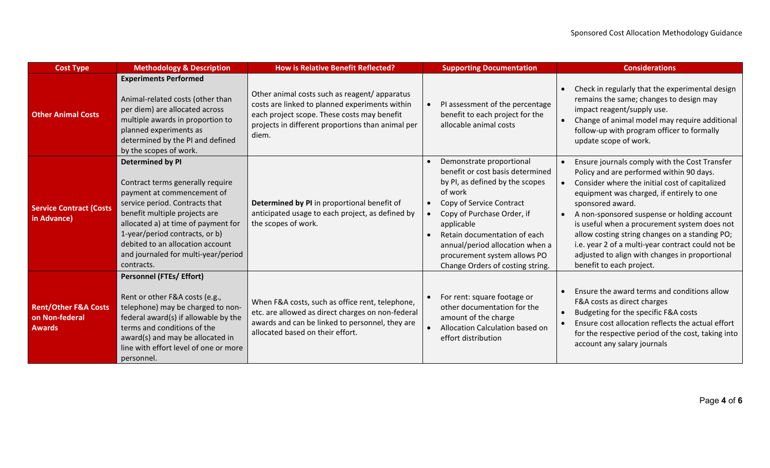| <b>Cost Type</b>                                                   | <b>Methodology &amp; Description</b>                                                                                                                                                                                                                                                                                           | <b>How is Relative Benefit Reflected?</b>                                                                                                                                                                   | <b>Supporting Documentation</b>                                                                                                                                                                                                                                                                                           | <b>Considerations</b>                                                                                                                                                                                                                                                                                                                                                                                                                                                                            |
|--------------------------------------------------------------------|--------------------------------------------------------------------------------------------------------------------------------------------------------------------------------------------------------------------------------------------------------------------------------------------------------------------------------|-------------------------------------------------------------------------------------------------------------------------------------------------------------------------------------------------------------|---------------------------------------------------------------------------------------------------------------------------------------------------------------------------------------------------------------------------------------------------------------------------------------------------------------------------|--------------------------------------------------------------------------------------------------------------------------------------------------------------------------------------------------------------------------------------------------------------------------------------------------------------------------------------------------------------------------------------------------------------------------------------------------------------------------------------------------|
| <b>Other Animal Costs</b>                                          | <b>Experiments Performed</b><br>Animal-related costs (other than<br>per diem) are allocated across<br>multiple awards in proportion to<br>planned experiments as<br>determined by the PI and defined<br>by the scopes of work.                                                                                                 | Other animal costs such as reagent/apparatus<br>costs are linked to planned experiments within<br>each project scope. These costs may benefit<br>projects in different proportions than animal per<br>diem. | PI assessment of the percentage<br>benefit to each project for the<br>allocable animal costs                                                                                                                                                                                                                              | Check in regularly that the experimental design<br>remains the same; changes to design may<br>impact reagent/supply use.<br>Change of animal model may require additional<br>follow-up with program officer to formally<br>update scope of work.                                                                                                                                                                                                                                                 |
| <b>Service Contract (Costs</b><br>in Advance)                      | <b>Determined by PI</b><br>Contract terms generally require<br>payment at commencement of<br>service period. Contracts that<br>benefit multiple projects are<br>allocated a) at time of payment for<br>1-year/period contracts, or b)<br>debited to an allocation account<br>and journaled for multi-year/period<br>contracts. | Determined by PI in proportional benefit of<br>anticipated usage to each project, as defined by<br>the scopes of work.                                                                                      | Demonstrate proportional<br>benefit or cost basis determined<br>by PI, as defined by the scopes<br>of work<br>Copy of Service Contract<br>Copy of Purchase Order, if<br>applicable<br>Retain documentation of each<br>annual/period allocation when a<br>procurement system allows PO<br>Change Orders of costing string. | Ensure journals comply with the Cost Transfer<br>Policy and are performed within 90 days.<br>Consider where the initial cost of capitalized<br>equipment was charged, if entirely to one<br>sponsored award.<br>A non-sponsored suspense or holding account<br>is useful when a procurement system does not<br>allow costing string changes on a standing PO;<br>i.e. year 2 of a multi-year contract could not be<br>adjusted to align with changes in proportional<br>benefit to each project. |
| <b>Rent/Other F&amp;A Costs</b><br>on Non-federal<br><b>Awards</b> | <b>Personnel (FTEs/ Effort)</b><br>Rent or other F&A costs (e.g.,<br>telephone) may be charged to non-<br>federal award(s) if allowable by the<br>terms and conditions of the<br>award(s) and may be allocated in<br>line with effort level of one or more<br>personnel.                                                       | When F&A costs, such as office rent, telephone,<br>etc. are allowed as direct charges on non-federal<br>awards and can be linked to personnel, they are<br>allocated based on their effort.                 | For rent: square footage or<br>other documentation for the<br>amount of the charge<br>Allocation Calculation based on<br>effort distribution                                                                                                                                                                              | Ensure the award terms and conditions allow<br>F&A costs as direct charges<br>Budgeting for the specific F&A costs<br>Ensure cost allocation reflects the actual effort<br>for the respective period of the cost, taking into<br>account any salary journals                                                                                                                                                                                                                                     |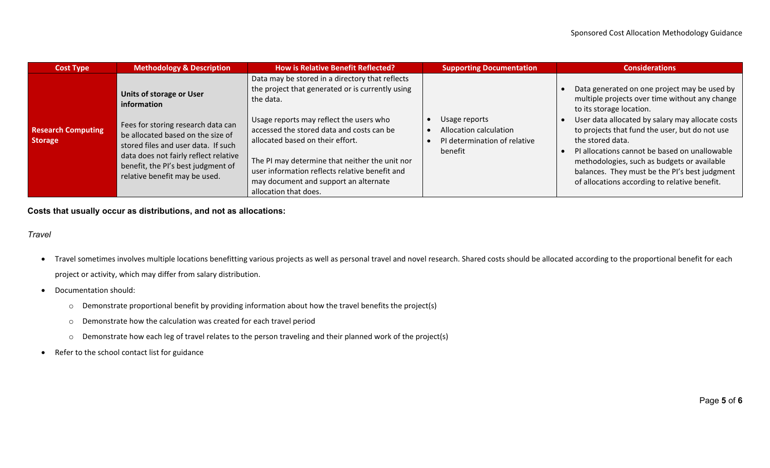| <b>Cost Type</b>                            | <b>Methodology &amp; Description</b>                                                                                                                                                                                                                                      | <b>How is Relative Benefit Reflected?</b>                                                                                                                                                                                                                                                                                                                                                                          | <b>Supporting Documentation</b>                                                    | <b>Considerations</b>                                                                                                                                                                                                                                                                                                                                                                                                                                  |
|---------------------------------------------|---------------------------------------------------------------------------------------------------------------------------------------------------------------------------------------------------------------------------------------------------------------------------|--------------------------------------------------------------------------------------------------------------------------------------------------------------------------------------------------------------------------------------------------------------------------------------------------------------------------------------------------------------------------------------------------------------------|------------------------------------------------------------------------------------|--------------------------------------------------------------------------------------------------------------------------------------------------------------------------------------------------------------------------------------------------------------------------------------------------------------------------------------------------------------------------------------------------------------------------------------------------------|
| <b>Research Computing</b><br><b>Storage</b> | Units of storage or User<br>information<br>Fees for storing research data can<br>be allocated based on the size of<br>stored files and user data. If such<br>data does not fairly reflect relative<br>benefit, the PI's best judgment of<br>relative benefit may be used. | Data may be stored in a directory that reflects<br>the project that generated or is currently using<br>the data.<br>Usage reports may reflect the users who<br>accessed the stored data and costs can be<br>allocated based on their effort.<br>The PI may determine that neither the unit nor<br>user information reflects relative benefit and<br>may document and support an alternate<br>allocation that does. | Usage reports<br>Allocation calculation<br>PI determination of relative<br>benefit | Data generated on one project may be used by<br>multiple projects over time without any change<br>to its storage location.<br>User data allocated by salary may allocate costs<br>to projects that fund the user, but do not use<br>the stored data.<br>PI allocations cannot be based on unallowable<br>methodologies, such as budgets or available<br>balances. They must be the PI's best judgment<br>of allocations according to relative benefit. |

**Costs that usually occur as distributions, and not as allocations:**

*Travel*

- Travel sometimes involves multiple locations benefitting various projects as well as personal travel and novel research. Shared costs should be allocated according to the proportional benefit for each project or activity, which may differ from salary distribution.
- Documentation should:
	- o Demonstrate proportional benefit by providing information about how the travel benefits the project(s)
	- o Demonstrate how the calculation was created for each travel period
	- o Demonstrate how each leg of travel relates to the person traveling and their planned work of the project(s)
- Refer to the school contact list for guidance